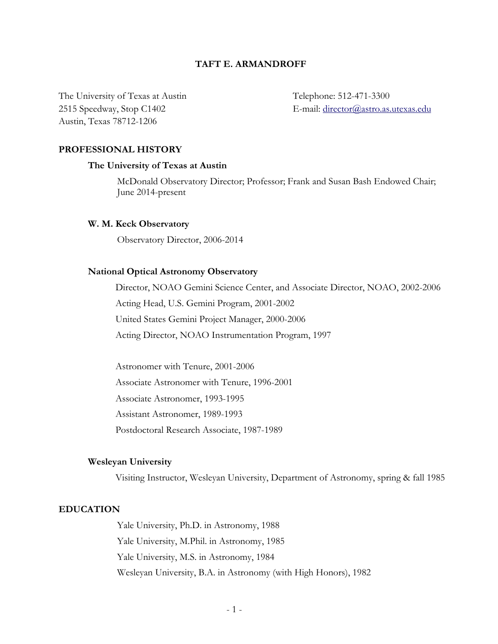# **TAFT E. ARMANDROFF**

The University of Texas at Austin Telephone: 512-471-3300 Austin, Texas 78712-1206

2515 Speedway, Stop C1402 E-mail: director@astro.as.utexas.edu

## **PROFESSIONAL HISTORY**

## **The University of Texas at Austin**

McDonald Observatory Director; Professor; Frank and Susan Bash Endowed Chair; June 2014-present

# **W. M. Keck Observatory**

Observatory Director, 2006-2014

### **National Optical Astronomy Observatory**

Director, NOAO Gemini Science Center, and Associate Director, NOAO, 2002-2006 Acting Head, U.S. Gemini Program, 2001-2002 United States Gemini Project Manager, 2000-2006 Acting Director, NOAO Instrumentation Program, 1997

Astronomer with Tenure, 2001-2006 Associate Astronomer with Tenure, 1996-2001 Associate Astronomer, 1993-1995 Assistant Astronomer, 1989-1993 Postdoctoral Research Associate, 1987-1989

### **Wesleyan University**

Visiting Instructor, Wesleyan University, Department of Astronomy, spring & fall 1985

## **EDUCATION**

Yale University, Ph.D. in Astronomy, 1988 Yale University, M.Phil. in Astronomy, 1985 Yale University, M.S. in Astronomy, 1984 Wesleyan University, B.A. in Astronomy (with High Honors), 1982